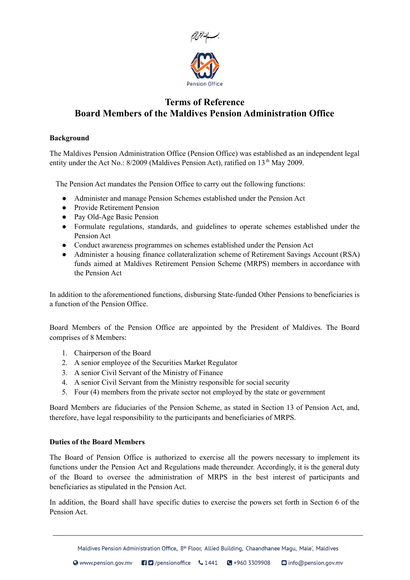

# **Terms of Reference Board Members of the Maldives Pension Administration Office**

# **Background**

The Maldives Pension Administration Office (Pension Office) was established as an independent legal entity under the Act No.: 8/2009 (Maldives Pension Act), ratified on 13<sup>th</sup> May 2009.

The Pension Act mandates the Pension Office to carry out the following functions:

- Administer and manage Pension Schemes established under the Pension Act
- Provide Retirement Pension
- Pay Old-Age Basic Pension
- Formulate regulations, standards, and guidelines to operate schemes established under the Pension Act
- Conduct awareness programmes on schemes established under the Pension Act
- Administer a housing finance collateralization scheme of Retirement Savings Account (RSA) funds aimed at Maldives Retirement Pension Scheme (MRPS) members in accordance with the Pension Act

In addition to the aforementioned functions, disbursing State-funded Other Pensions to beneficiaries is a function of the Pension Office.

Board Members of the Pension Office are appointed by the President of Maldives. The Board comprises of 8 Members:

- 1. Chairperson of the Board
- 2. A senior employee of the Securities Market Regulator
- 3. A senior Civil Servant of the Ministry of Finance
- 4. A senior Civil Servant from the Ministry responsible for social security
- 5. Four (4) members from the private sector not employed by the state or government

Board Members are fiduciaries of the Pension Scheme, as stated in Section 13 of Pension Act, and, therefore, have legal responsibility to the participants and beneficiaries of MRPS.

# **Duties of the Board Members**

The Board of Pension Office is authorized to exercise all the powers necessary to implement its functions under the Pension Act and Regulations made thereunder. Accordingly, it is the general duty of the Board to oversee the administration of MRPS in the best interest of participants and beneficiaries as stipulated in the Pension Act.

In addition, the Board shall have specific duties to exercise the powers set forth in Section 6 of the Pension Act.

Maldives Pension Administration Office, 8<sup>th</sup> Floor, Allied Building, Chaandhanee Magu, Male', Maldives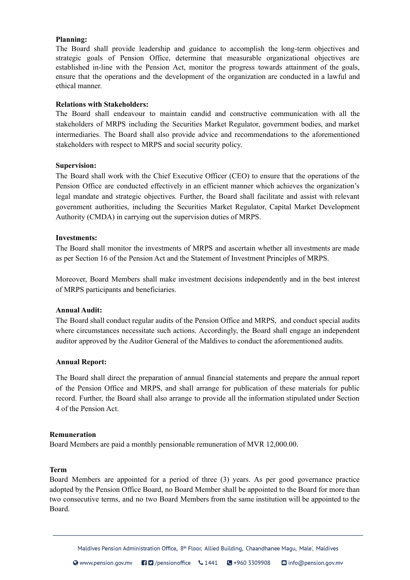### **Planning:**

The Board shall provide leadership and guidance to accomplish the long-term objectives and strategic goals of Pension Office, determine that measurable organizational objectives are established in-line with the Pension Act, monitor the progress towards attainment of the goals, ensure that the operations and the development of the organization are conducted in a lawful and ethical manner.

# **Relations with Stakeholders:**

The Board shall endeavour to maintain candid and constructive communication with all the stakeholders of MRPS including the Securities Market Regulator, government bodies, and market intermediaries. The Board shall also provide advice and recommendations to the aforementioned stakeholders with respect to MRPS and social security policy.

### **Supervision:**

The Board shall work with the Chief Executive Officer (CEO) to ensure that the operations of the Pension Office are conducted effectively in an efficient manner which achieves the organization's legal mandate and strategic objectives. Further, the Board shall facilitate and assist with relevant government authorities, including the Securities Market Regulator, Capital Market Development Authority (CMDA) in carrying out the supervision duties of MRPS.

### **Investments:**

The Board shall monitor the investments of MRPS and ascertain whether all investments are made as per Section 16 of the Pension Act and the Statement of Investment Principles of MRPS.

Moreover, Board Members shall make investment decisions independently and in the best interest of MRPS participants and beneficiaries.

#### **Annual Audit:**

The Board shall conduct regular audits of the Pension Office and MRPS, and conduct special audits where circumstances necessitate such actions. Accordingly, the Board shall engage an independent auditor approved by the Auditor General of the Maldives to conduct the aforementioned audits.

#### **Annual Report:**

The Board shall direct the preparation of annual financial statements and prepare the annual report of the Pension Office and MRPS, and shall arrange for publication of these materials for public record. Further, the Board shall also arrange to provide all the information stipulated under Section 4 of the Pension Act.

#### **Remuneration**

Board Members are paid a monthly pensionable remuneration of MVR 12,000.00.

#### **Term**

Board Members are appointed for a period of three (3) years. As per good governance practice adopted by the Pension Office Board, no Board Member shall be appointed to the Board for more than two consecutive terms, and no two Board Members from the same institution will be appointed to the Board.

Maldives Pension Administration Office, 8<sup>th</sup> Floor, Allied Building, Chaandhanee Magu, Male', Maldives